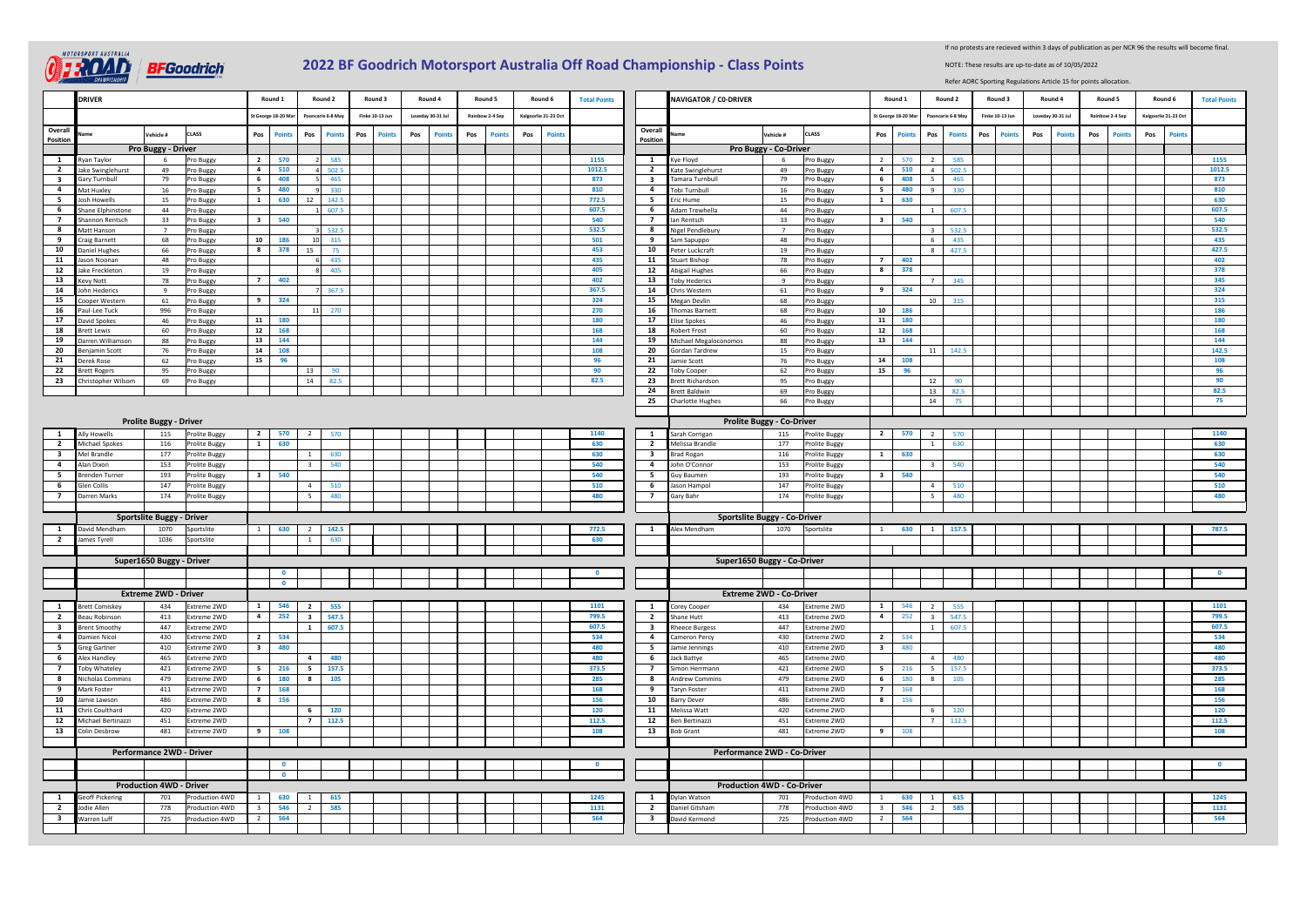

## **2022 BF Goodrich Motorsport Australia Off Road Championship - Class Points**

If no protests are recieved within 3 days of publication as per NCR 96 the results will become final.

NOTE: These results are up-to-date as of 10/05/2022

Refer AORC Sporting Regulations Article 15 for points allocation.

|                         | <b>DRIVER</b>                                                    |                                                          |                            |                            | Round 1           |   | Round 2                 | Round 3              |     | Round 4           |     | Round 5         | Round 6              | <b>Total Points</b>               |                                     | <b>NAVIGATOR / CO-DRIVER</b>               |                                  |                            |                         | Round 1            | Round 2                          | Round 3                | Round 4           |       | Round 5         | Round 6             | <b>Total Points</b> |
|-------------------------|------------------------------------------------------------------|----------------------------------------------------------|----------------------------|----------------------------|-------------------|---|-------------------------|----------------------|-----|-------------------|-----|-----------------|----------------------|-----------------------------------|-------------------------------------|--------------------------------------------|----------------------------------|----------------------------|-------------------------|--------------------|----------------------------------|------------------------|-------------------|-------|-----------------|---------------------|---------------------|
|                         |                                                                  |                                                          |                            |                            | St George 18-20 N |   | Pooncarie 6-8 Ma        | Finke 10-13 Jun      |     | Loveday 30-31 Jul |     | Rainbow 2-4 Sep | Kalgoorlie 21-23 Oc  |                                   |                                     |                                            |                                  |                            |                         | St George 18-20 M: | Pooncarie 6-8 Ma                 | <b>Finke 10-13 Jun</b> | Loveday 30-31 Jul |       | Rainbow 2-4 Sep | Kalgoorlie 21-23 Oc |                     |
| Overall                 |                                                                  | ehicle #                                                 | CLASS                      | Pos                        | Point             |   | Pos<br>Points           | Pos<br><b>Point:</b> | Pos | Poir              | Pos | Point           | <b>Points</b><br>Pos |                                   | Overall                             |                                            | ehicle#                          | CLASS                      | Pos                     | <b>Points</b>      | Pos<br>Point                     | Pos<br>Point           | Pos               | Point | Pos<br>Poin     | Pos<br>Point        |                     |
| Position                |                                                                  | Pro Buggy - Driver                                       |                            |                            |                   |   |                         |                      |     |                   |     |                 |                      |                                   | Position                            |                                            | Pro Buggy - Co-Driver            |                            |                         |                    |                                  |                        |                   |       |                 |                     |                     |
| $\overline{1}$          | Ryan Taylor                                                      | $\overline{2}$<br>570<br>1155<br>2 585<br>6<br>Pro Buggy |                            | $\mathbf{1}$               | Kye Floyd         | 6 | Pro Buggy               | 2                    | 570 | 2<br>585          |     |                 |                      |                                   |                                     | 1155                                       |                                  |                            |                         |                    |                                  |                        |                   |       |                 |                     |                     |
| $\overline{2}$          | Jake Swinglehurst                                                | 49                                                       | Pro Buggy                  | $\overline{a}$             | 510               |   | 4 502.5                 |                      |     |                   |     |                 |                      | 1012.5                            | $\overline{2}$                      | Kate Swinglehurst                          | 49                               | Pro Buggy                  | $\overline{a}$          | 510                | 4<br>502.5                       |                        |                   |       |                 |                     | 1012.5              |
| $\overline{\mathbf{3}}$ | Gary Turnbull                                                    | 79                                                       | Pro Buggy                  | 6                          | 408               |   | 5 465                   |                      |     |                   |     |                 |                      | 873                               | $\overline{\mathbf{3}}$             | Tamara Turnbull                            | 79                               | Pro Buggy                  | $6\overline{6}$         | 408                | 465<br>5 <sub>1</sub>            |                        |                   |       |                 |                     | 873                 |
| $\overline{a}$          | Mat Huxley                                                       | 16                                                       | Pro Buggy                  | 5                          | 480               |   | 330<br>9                |                      |     |                   |     |                 |                      | 810                               | $\overline{a}$                      | Tobi Turnbull                              | 16                               | Pro Buggy                  | $5-1$                   | 480                | 9<br>330                         |                        |                   |       |                 |                     | 810                 |
| 5                       | <b>Josh Howells</b>                                              | 15                                                       | Pro Buggy                  | $\mathbf{1}$               | 630               |   | 12 142.5                |                      |     |                   |     |                 |                      | 772.5                             | 5                                   | Eric Hume                                  | 15                               | Pro Buggy                  | 1                       | 630                |                                  |                        |                   |       |                 |                     | 630                 |
| 6<br>$\overline{7}$     | Shane Elphinstone<br>Shannon Rentsch                             | 44<br>33                                                 | Pro Buggy                  | $\overline{\mathbf{3}}$    | 540               |   | 1 607.5                 |                      |     |                   |     |                 |                      | 607.5<br>540                      | 6<br>$\overline{7}$                 | Adam Trewhella<br>Ian Rentsch              | 44<br>33                         | Pro Buggy                  |                         | $3 \quad 540$      | $1 \quad$<br>607.5               |                        |                   |       |                 |                     | 607.5<br>540        |
| 8                       | Matt Hanson                                                      | $\overline{7}$                                           | Pro Buggy<br>Pro Buggy     |                            |                   |   | 3 532.5                 |                      |     |                   |     |                 |                      | 532.5                             | $\mathbf{8}$                        | Nigel Pendlebury                           | $\overline{7}$                   | Pro Buggy<br>Pro Buggy     |                         |                    | 532.5<br>$\overline{3}$          |                        |                   |       |                 |                     | 532.5               |
| 9                       | Craig Barnett                                                    | 68                                                       | Pro Buggy                  | 10                         | 186               |   | 10 315                  |                      |     |                   |     |                 |                      | 501                               | 9                                   | Sam Sapuppo                                | 48                               | Pro Buggy                  |                         |                    | 6 <sup>1</sup><br>435            |                        |                   |       |                 |                     | 435                 |
| 10                      | Daniel Hughes                                                    | 66                                                       | Pro Buggy                  | 8                          | 378               |   | 15<br>75                |                      |     |                   |     |                 |                      | 453                               | 10                                  | Peter Luckcraft                            | 19                               | Pro Buggy                  |                         |                    | 8 427.5                          |                        |                   |       |                 |                     | 427.5               |
| 11                      | Jason Noonan                                                     | 48                                                       | Pro Buggy                  |                            |                   |   | 6 435                   |                      |     |                   |     |                 |                      | 435                               | 11                                  | <b>Stuart Bishop</b>                       | 78                               | Pro Buggy                  | 7 <sup>1</sup>          | 402                |                                  |                        |                   |       |                 |                     | 402                 |
| 12                      | Jake Freckleton                                                  | 19                                                       | Pro Buggy                  |                            |                   |   | 8 405                   |                      |     |                   |     |                 |                      | 405                               | 12                                  | Abigail Hughes                             | 66                               | Pro Buggy                  |                         | 8 378              |                                  |                        |                   |       |                 |                     | 378                 |
| 13                      | Kevy Nott                                                        | 78                                                       | Pro Buggy                  | 7                          | 402               |   |                         |                      |     |                   |     |                 |                      | 402                               | 13                                  | <b>Toby Hederics</b>                       | 9                                | Pro Buggy                  |                         |                    | $\overline{7}$<br>345            |                        |                   |       |                 |                     | 345                 |
| 14                      | John Hederics                                                    | 9                                                        | Pro Buggy                  |                            |                   |   | 7 367.5                 |                      |     |                   |     |                 |                      | 367.5                             | 14                                  | Chris Western                              | 61                               | Pro Buggy                  | 9                       | 324                |                                  |                        |                   |       |                 |                     | 324                 |
| 15                      | Cooper Western                                                   | 61                                                       | Pro Buggy                  | 9                          | 324               |   |                         |                      |     |                   |     |                 |                      | 324                               | 15                                  | Megan Devlin                               | 68                               | Pro Buggy                  |                         |                    | 10<br>315                        |                        |                   |       |                 |                     | 315                 |
| 16                      | Paul-Lee Tuck                                                    | 996                                                      | Pro Buggy                  |                            |                   |   | 11 270                  |                      |     |                   |     |                 |                      | 270                               | 16                                  | <b>Thomas Barnett</b>                      | 68                               | Pro Buggy                  |                         | 10 186             |                                  |                        |                   |       |                 |                     | 186                 |
| 17<br>18                | David Spokes<br><b>Brett Lewis</b>                               | 46<br>60                                                 | Pro Buggy                  | 11<br>12                   | 180<br>168        |   |                         |                      |     |                   |     |                 |                      | 180<br>168                        | 17<br>18                            | <b>Elise Spokes</b><br><b>Robert Frost</b> | 46<br>60                         | Pro Buggy                  | 11<br>12                | 180<br>168         |                                  |                        |                   |       |                 |                     | 180<br>168          |
| 19                      | Darren Williamson                                                | 88                                                       | Pro Buggy<br>Pro Buggy     | 13                         | 144               |   |                         |                      |     |                   |     |                 |                      | 144                               | 19                                  | Michael Megaloconomos                      | 88                               | Pro Buggy<br>Pro Buggy     |                         | 13 144             |                                  |                        |                   |       |                 |                     | 144                 |
| 20                      | Benjamin Scott                                                   | 76                                                       | Pro Buggy                  | 14                         | 108               |   |                         |                      |     |                   |     |                 |                      | 108                               | 20                                  | Gordan Tardrew                             | 15                               | Pro Buggy                  |                         |                    | 11 142.5                         |                        |                   |       |                 |                     | 142.5               |
| 21                      | Derek Rose                                                       | 62                                                       | Pro Buggy                  | 15                         | 96                |   |                         |                      |     |                   |     |                 |                      | 96                                | 21                                  | Jamie Scott                                | 76                               | Pro Buggy                  | 14                      | 108                |                                  |                        |                   |       |                 |                     | 108                 |
| 22                      | <b>Brett Rogers</b>                                              | 95                                                       | Pro Buggy                  |                            |                   |   | 13<br>90                |                      |     |                   |     |                 |                      | 90                                | 22                                  | <b>Toby Cooper</b>                         | 62                               | Pro Buggy                  | 15                      | 96                 |                                  |                        |                   |       |                 |                     | 96                  |
| 23                      | Christopher Wilsom                                               | 69                                                       | Pro Buggy                  |                            |                   |   | 14 82.5                 |                      |     |                   |     |                 |                      | 82.5                              | 23                                  | <b>Brett Richardson</b>                    | 95                               | Pro Buggy                  |                         |                    | 12<br>90                         |                        |                   |       |                 |                     | 90                  |
|                         |                                                                  |                                                          |                            |                            |                   |   |                         |                      |     |                   |     |                 |                      |                                   | 24                                  | <b>Brett Baldwin</b>                       | 69                               | Pro Buggy                  |                         |                    | 13<br>82.5                       |                        |                   |       |                 |                     | 82.5                |
|                         |                                                                  |                                                          |                            |                            |                   |   |                         |                      |     |                   |     |                 |                      |                                   |                                     | 25 Charlotte Hughes                        | 66                               | Pro Buggy                  |                         |                    | 14<br>75                         |                        |                   |       |                 |                     | 75                  |
|                         |                                                                  |                                                          |                            |                            |                   |   |                         |                      |     |                   |     |                 |                      |                                   |                                     |                                            |                                  |                            |                         |                    |                                  |                        |                   |       |                 |                     |                     |
|                         |                                                                  | <b>Prolite Buggy - Driver</b>                            |                            |                            |                   |   |                         |                      |     |                   |     |                 |                      |                                   |                                     |                                            | <b>Prolite Buggy - Co-Driver</b> |                            |                         |                    |                                  |                        |                   |       |                 |                     |                     |
| $\mathbf{1}$            | Ally Howells                                                     | 115                                                      | <b>Prolite Buggy</b>       | $\overline{2}$             | 570               |   | 2<br>570                |                      |     |                   |     |                 |                      | 1140                              | 1                                   | Sarah Corrigan                             | 115                              | Prolite Buggy              | $2^{\circ}$             | 570                | 2 570                            |                        |                   |       |                 |                     | 1140                |
| $\overline{2}$          | Michael Spokes                                                   | 116                                                      | Prolite Buggy              | $\mathbf{1}$               | 630               |   |                         |                      |     |                   |     |                 |                      | 630                               | $\overline{2}$                      | Melissa Brandle                            | 177                              | Prolite Buggy              |                         |                    | 630<br>1                         |                        |                   |       |                 |                     | 630                 |
| $\overline{\mathbf{3}}$ | Mel Brandle                                                      | 177                                                      | Prolite Buggy              |                            |                   |   | 630<br>1                |                      |     |                   |     |                 |                      | 630                               | $\overline{\mathbf{3}}$             | <b>Brad Rogan</b>                          | 116                              | Prolite Buggy              | 1                       | 630                |                                  |                        |                   |       |                 |                     | 630                 |
| $\overline{4}$          | Alan Dixon                                                       | 153                                                      | Prolite Buggy              |                            |                   |   | 3 <sub>1</sub><br>540   |                      |     |                   |     |                 |                      | 540                               | $\overline{4}$                      | John O'Connor                              | 153                              | Prolite Buggy              |                         |                    | $\overline{\phantom{a}3}$<br>540 |                        |                   |       |                 |                     | 540                 |
| 5 <sub>5</sub>          | <b>Brenden Turner</b>                                            | 193                                                      | Prolite Buggy              | $\overline{\mathbf{3}}$    | 540               |   |                         |                      |     |                   |     |                 |                      | 540                               | 5 <sub>5</sub>                      | Guy Baumen                                 | 193                              | Prolite Buggy              | 3 <sub>1</sub>          | 540                |                                  |                        |                   |       |                 |                     | 540                 |
| 6                       | <b>Glen Collis</b>                                               | 147                                                      | Prolite Buggy              |                            |                   |   | 4<br>510                |                      |     |                   |     |                 |                      | 510                               | 6                                   | Jason Hampol                               | 147                              | <b>Prolite Buggy</b>       |                         |                    | 510<br>4                         |                        |                   |       |                 |                     | 510                 |
| $\overline{7}$          | Darren Marks                                                     | 174                                                      | Prolite Buggy              |                            |                   |   | 5<br>480                |                      |     |                   |     |                 |                      | 480                               | $7\overline{ }$                     | Gary Bahr                                  | 174                              | Prolite Buggy              |                         |                    | 5 <sup>5</sup><br>480            |                        |                   |       |                 |                     | 480                 |
|                         |                                                                  |                                                          |                            |                            |                   |   |                         |                      |     |                   |     |                 |                      |                                   | <b>Sportslite Buggy - Co-Driver</b> |                                            |                                  |                            |                         |                    |                                  |                        |                   |       |                 |                     |                     |
| $\mathbf{1}$            | Sportslite Buggy - Driver<br>1070<br>David Mendham<br>Sportslite |                                                          |                            | $\mathbf{1}$               | 630               |   | 2 142.5                 |                      |     |                   |     |                 |                      | 772.5                             | 1                                   | Alex Mendham                               | 1070                             | Sportslite                 | 1                       | 630                | $1 \t157.5$                      |                        |                   |       |                 |                     | 787.5               |
| $\overline{\mathbf{2}}$ | James Tyrell                                                     | 1036                                                     | Sportslite                 |                            |                   |   | 1<br>630                |                      |     |                   |     |                 |                      | 630                               |                                     |                                            |                                  |                            |                         |                    |                                  |                        |                   |       |                 |                     |                     |
|                         |                                                                  |                                                          |                            |                            |                   |   |                         |                      |     |                   |     |                 |                      |                                   |                                     |                                            |                                  |                            |                         |                    |                                  |                        |                   |       |                 |                     |                     |
|                         |                                                                  | Super1650 Buggy - Driver                                 |                            |                            |                   |   |                         |                      |     |                   |     |                 |                      |                                   |                                     | Super1650 Buggy - Co-Driver                |                                  |                            |                         |                    |                                  |                        |                   |       |                 |                     |                     |
|                         |                                                                  |                                                          |                            |                            | $\mathbf{0}$      |   |                         |                      |     |                   |     |                 |                      |                                   |                                     |                                            |                                  |                            |                         |                    |                                  |                        |                   |       |                 |                     |                     |
|                         |                                                                  |                                                          |                            |                            | $\Omega$          |   |                         |                      |     |                   |     |                 |                      |                                   |                                     |                                            |                                  |                            |                         |                    |                                  |                        |                   |       |                 |                     |                     |
|                         |                                                                  | <b>Extreme 2WD - Driver</b>                              |                            |                            |                   |   |                         |                      |     |                   |     |                 |                      |                                   |                                     | <b>Extreme 2WD - Co-Driver</b>             |                                  |                            |                         |                    |                                  |                        |                   |       |                 |                     |                     |
| 1                       | <b>Brett Comiskey</b>                                            | 434                                                      | Extreme 2WD                | $\mathbf{1}$               | 546               |   | $\overline{2}$<br>555   |                      |     |                   |     |                 |                      | 1101                              | 1                                   | Corey Cooper                               | 434                              | Extreme 2WD                | 1                       | 546                | 555<br>2                         |                        |                   |       |                 |                     | 1101                |
| $\overline{2}$          | <b>Beau Robinson</b>                                             | 413                                                      | Extreme 2WD                | $\overline{4}$             | 252               |   | $3-1$<br>547.5          |                      |     |                   |     |                 |                      | 799.5                             | $\overline{2}$                      | Shane Hutt                                 | 413                              | Extreme 2WD                | 4                       | 252                | 3 547.5                          |                        |                   |       |                 |                     | 799.5               |
| $\overline{\mathbf{3}}$ | <b>Brent Smoothy</b>                                             | 447                                                      | Extreme 2WD                |                            |                   |   | $1 \quad$<br>607.5      |                      |     |                   |     |                 |                      | 607.5                             | $\overline{\mathbf{3}}$             | <b>Rheece Burgess</b>                      | 447                              | Extreme 2WD                |                         |                    | 1 607.5                          |                        |                   |       |                 |                     | 607.5               |
| $\overline{a}$          | Damien Nicol                                                     | 430                                                      | Extreme 2WD                | $\overline{2}$             | 534               |   |                         |                      |     |                   |     |                 |                      | 534                               | $\overline{a}$                      | Cameron Percy                              | 430                              | Extreme 2WD                | $\overline{2}$          | 534                |                                  |                        |                   |       |                 |                     | 534                 |
| 5                       | <b>Greg Gartner</b>                                              | 410                                                      | Extreme 2WD                | $\overline{\mathbf{3}}$    | 480               |   |                         |                      |     |                   |     |                 |                      | 480                               | 5                                   | Jamie Jennings                             | 410                              | Extreme 2WD                | $\overline{\mathbf{3}}$ | 480                |                                  |                        |                   |       |                 |                     | 480                 |
| 6<br>$\overline{7}$     | Alex Handley                                                     | 465                                                      | Extreme 2WD                |                            |                   |   | $\overline{4}$<br>480   |                      |     |                   |     |                 |                      | 480                               | 6<br>$\overline{7}$                 | Jack Battye                                | 465                              | Extreme 2WD                |                         |                    | 4<br>480                         |                        |                   |       |                 |                     | 480<br>373.5        |
|                         | Toby Whateley                                                    | 421                                                      | Extreme 2WD                | 5 <sub>5</sub>             | 216               |   | 5 <sub>5</sub><br>157.5 |                      |     |                   |     |                 |                      | 373.5                             |                                     | Simon Herrmann                             | 421                              | Extreme 2WD                | 5 <sub>1</sub>          | 216                | 5 <sub>1</sub><br>157.5          |                        |                   |       |                 |                     | 285                 |
| 8<br>9                  | Nicholas Commins<br>Mark Foster                                  | 479                                                      | Extreme 2WD                | 6                          | 180<br>168        |   | $\bf{8}$<br>105         |                      |     |                   |     |                 |                      | 285<br>168                        | 8<br>9                              | <b>Andrew Commins</b>                      | 479<br>411                       | Extreme 2WD                | $6^{\circ}$<br>7        | 180<br>168         | 8<br>105                         |                        |                   |       |                 |                     | 168                 |
| 10                      | amie Lawson                                                      | 411<br>486                                               | Extreme 2WD<br>Extreme 2WD | $\overline{7}$<br>$\bf{8}$ | 156               |   |                         |                      |     |                   |     |                 |                      | 156                               | 10                                  | aryn Foster<br><b>Barry Dever</b>          | 486                              | Extreme 2WD<br>Extreme 2WD | 8                       | 156                |                                  |                        |                   |       |                 |                     | 156                 |
| 11                      | Chris Coulthard                                                  | 420                                                      | Extreme 2WD                |                            |                   |   | 120<br>6                |                      |     |                   |     |                 |                      | 120                               | 11                                  | Melissa Watt                               | 420                              | Extreme 2WD                |                         |                    | 120<br>-6                        |                        |                   |       |                 |                     | 120                 |
| 12                      | Michael Bertinazzi                                               | 451                                                      | Extreme 2WD                |                            |                   |   | $7 \t112.5$             |                      |     |                   |     |                 |                      | 112.5                             | 12                                  | Ben Bertinazzi                             | 451                              | Extreme 2WD                |                         |                    | 7 112.5                          |                        |                   |       |                 |                     | 112.5               |
| 13                      | Colin Desbrow                                                    | 481                                                      | Extreme 2WD                | 9                          | 108               |   |                         |                      |     |                   |     |                 |                      | 108                               | 13                                  | <b>Bob Grant</b>                           | 481                              | Extreme 2WD                | 9                       | 108                |                                  |                        |                   |       |                 |                     | 108                 |
|                         |                                                                  |                                                          |                            |                            |                   |   |                         |                      |     |                   |     |                 |                      |                                   |                                     |                                            |                                  |                            |                         |                    |                                  |                        |                   |       |                 |                     |                     |
|                         | Performance 2WD - Driver                                         |                                                          |                            |                            |                   |   |                         |                      |     |                   |     |                 |                      |                                   | Performance 2WD - Co-Driver         |                                            |                                  |                            |                         |                    |                                  |                        |                   |       |                 |                     |                     |
|                         |                                                                  |                                                          |                            |                            |                   |   |                         |                      |     |                   |     |                 |                      |                                   |                                     |                                            |                                  |                            |                         |                    |                                  |                        |                   |       |                 |                     |                     |
|                         |                                                                  |                                                          |                            | $\Omega$                   |                   |   |                         |                      |     |                   |     |                 |                      |                                   |                                     |                                            |                                  |                            |                         |                    |                                  |                        |                   |       |                 |                     |                     |
|                         |                                                                  | <b>Production 4WD - Driver</b>                           |                            |                            |                   |   |                         |                      |     |                   |     |                 |                      | <b>Production 4WD - Co-Driver</b> |                                     |                                            |                                  |                            |                         |                    |                                  |                        |                   |       |                 |                     |                     |
| $\mathbf{1}$            | eoff Pickering                                                   | 701                                                      | Production 4WD             | $\mathbf{1}$               | 630               |   | $\frac{1}{2}$<br>615    |                      |     |                   |     |                 |                      | 1245                              | $\mathbf{1}$                        | Dylan Watson                               | 701                              | Production 4WD             | $\mathbf{1}$            | 630                | $1 \quad$<br>615                 |                        |                   |       |                 |                     | 1245                |
| $\overline{2}$          | odie Allen                                                       | 778                                                      | Production 4WD             | $\overline{\mathbf{3}}$    | 546               |   | 2<br>585                |                      |     |                   |     |                 |                      | 1131                              | $\overline{2}$                      | Daniel Gitsham                             | 778                              | Production 4WD             | $\overline{\mathbf{3}}$ | 546                | 2<br>585                         |                        |                   |       |                 |                     | 1131                |
| $\overline{\mathbf{3}}$ | Warren Luff                                                      | 725                                                      | Production 4WD             | 2                          | 564               |   |                         |                      |     |                   |     |                 |                      | 564                               | $\overline{\mathbf{3}}$             | David Kermond                              | 725                              | Production 4WD             | 2                       | 564                |                                  |                        |                   |       |                 |                     | 564                 |
|                         |                                                                  |                                                          |                            |                            |                   |   |                         |                      |     |                   |     |                 |                      |                                   |                                     |                                            |                                  |                            |                         |                    |                                  |                        |                   |       |                 |                     |                     |